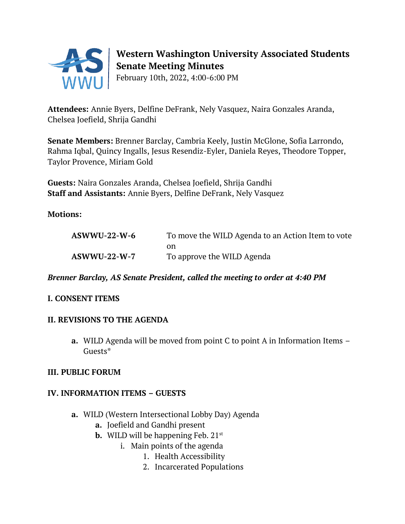

# **Western Washington University Associated Students Senate Meeting Minutes**

February 10th, 2022, 4:00-6:00 PM

**Attendees:** Annie Byers, Delfine DeFrank, Nely Vasquez, Naira Gonzales Aranda, Chelsea Joefield, Shrija Gandhi

**Senate Members:** Brenner Barclay, Cambria Keely, Justin McGlone, Sofia Larrondo, Rahma Iqbal, Quincy Ingalls, Jesus Resendiz-Eyler, Daniela Reyes, Theodore Topper, Taylor Provence, Miriam Gold

**Guests:** Naira Gonzales Aranda, Chelsea Joefield, Shrija Gandhi **Staff and Assistants:** Annie Byers, Delfine DeFrank, Nely Vasquez

**Motions:**

| $ASWWU-22-W-6$ | To move the WILD Agenda to an Action Item to vote |
|----------------|---------------------------------------------------|
|                | on                                                |
| $ASWWU-22-W-7$ | To approve the WILD Agenda                        |

## *Brenner Barclay, AS Senate President, called the meeting to order at 4:40 PM*

# **I. CONSENT ITEMS**

## **II. REVISIONS TO THE AGENDA**

**a.** WILD Agenda will be moved from point C to point A in Information Items – Guests\*

## **III. PUBLIC FORUM**

# **IV. INFORMATION ITEMS – GUESTS**

- **a.** WILD (Western Intersectional Lobby Day) Agenda
	- **a.** Joefield and Gandhi present
	- **b.** WILD will be happening Feb. 21<sup>st</sup>
		- i. Main points of the agenda
			- 1. Health Accessibility
			- 2. Incarcerated Populations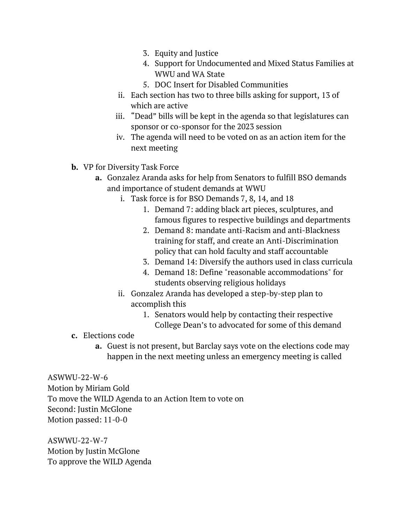- 3. Equity and Justice
- 4. Support for Undocumented and Mixed Status Families at WWU and WA State
- 5. DOC Insert for Disabled Communities
- ii. Each section has two to three bills asking for support, 13 of which are active
- iii. "Dead" bills will be kept in the agenda so that legislatures can sponsor or co-sponsor for the 2023 session
- iv. The agenda will need to be voted on as an action item for the next meeting
- **b.** VP for Diversity Task Force
	- **a.** Gonzalez Aranda asks for help from Senators to fulfill BSO demands and importance of student demands at WWU
		- i. Task force is for BSO Demands 7, 8, 14, and 18
			- 1. Demand 7: adding black art pieces, sculptures, and famous figures to respective buildings and departments
			- 2. Demand 8: mandate anti-Racism and anti-Blackness training for staff, and create an Anti-Discrimination policy that can hold faculty and staff accountable
			- 3. Demand 14: Diversify the authors used in class curricula
			- 4. Demand 18: Define "reasonable accommodations" for students observing religious holidays
		- ii. Gonzalez Aranda has developed a step-by-step plan to accomplish this
			- 1. Senators would help by contacting their respective College Dean's to advocated for some of this demand
- **c.** Elections code
	- **a.** Guest is not present, but Barclay says vote on the elections code may happen in the next meeting unless an emergency meeting is called

ASWWU-22-W-6 Motion by Miriam Gold To move the WILD Agenda to an Action Item to vote on Second: Justin McGlone Motion passed: 11-0-0

ASWWU-22-W-7 Motion by Justin McGlone To approve the WILD Agenda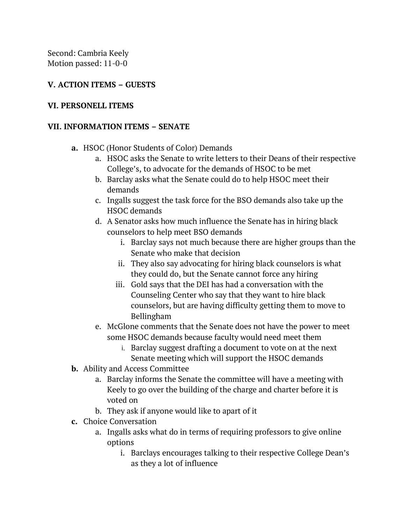Second: Cambria Keely Motion passed: 11-0-0

# **V. ACTION ITEMS – GUESTS**

#### **VI. PERSONELL ITEMS**

#### **VII. INFORMATION ITEMS – SENATE**

- **a.** HSOC (Honor Students of Color) Demands
	- a. HSOC asks the Senate to write letters to their Deans of their respective College's, to advocate for the demands of HSOC to be met
	- b. Barclay asks what the Senate could do to help HSOC meet their demands
	- c. Ingalls suggest the task force for the BSO demands also take up the HSOC demands
	- d. A Senator asks how much influence the Senate has in hiring black counselors to help meet BSO demands
		- i. Barclay says not much because there are higher groups than the Senate who make that decision
		- ii. They also say advocating for hiring black counselors is what they could do, but the Senate cannot force any hiring
		- iii. Gold says that the DEI has had a conversation with the Counseling Center who say that they want to hire black counselors, but are having difficulty getting them to move to Bellingham
	- e. McGlone comments that the Senate does not have the power to meet some HSOC demands because faculty would need meet them
		- i. Barclay suggest drafting a document to vote on at the next Senate meeting which will support the HSOC demands
- **b.** Ability and Access Committee
	- a. Barclay informs the Senate the committee will have a meeting with Keely to go over the building of the charge and charter before it is voted on
	- b. They ask if anyone would like to apart of it
- **c.** Choice Conversation
	- a. Ingalls asks what do in terms of requiring professors to give online options
		- i. Barclays encourages talking to their respective College Dean's as they a lot of influence